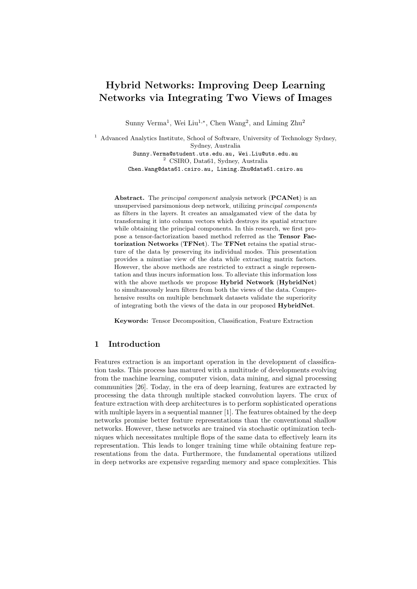# Hybrid Networks: Improving Deep Learning Networks via Integrating Two Views of Images

Sunny Verma<sup>1</sup>, Wei Liu<sup>1,\*</sup>, Chen Wang<sup>2</sup>, and Liming Zhu<sup>2</sup>

<sup>1</sup> Advanced Analytics Institute, School of Software, University of Technology Sydney, Sydney, Australia Sunny.Verma@student.uts.edu.au, Wei.Liu@uts.edu.au

<sup>2</sup> CSIRO, Data61, Sydney, Australia Chen.Wang@data61.csiro.au, Liming.Zhu@data61.csiro.au

Abstract. The principal component analysis network (PCANet) is an unsupervised parsimonious deep network, utilizing principal components as filters in the layers. It creates an amalgamated view of the data by transforming it into column vectors which destroys its spatial structure while obtaining the principal components. In this research, we first propose a tensor-factorization based method referred as the Tensor Factorization Networks (TFNet). The TFNet retains the spatial structure of the data by preserving its individual modes. This presentation provides a minutiae view of the data while extracting matrix factors. However, the above methods are restricted to extract a single representation and thus incurs information loss. To alleviate this information loss with the above methods we propose Hybrid Network (HybridNet) to simultaneously learn filters from both the views of the data. Comprehensive results on multiple benchmark datasets validate the superiority of integrating both the views of the data in our proposed HybridNet.

Keywords: Tensor Decomposition, Classification, Feature Extraction

## 1 Introduction

Features extraction is an important operation in the development of classification tasks. This process has matured with a multitude of developments evolving from the machine learning, computer vision, data mining, and signal processing communities [26]. Today, in the era of deep learning, features are extracted by processing the data through multiple stacked convolution layers. The crux of feature extraction with deep architectures is to perform sophisticated operations with multiple layers in a sequential manner [1]. The features obtained by the deep networks promise better feature representations than the conventional shallow networks. However, these networks are trained via stochastic optimization techniques which necessitates multiple flops of the same data to effectively learn its representation. This leads to longer training time while obtaining feature representations from the data. Furthermore, the fundamental operations utilized in deep networks are expensive regarding memory and space complexities. This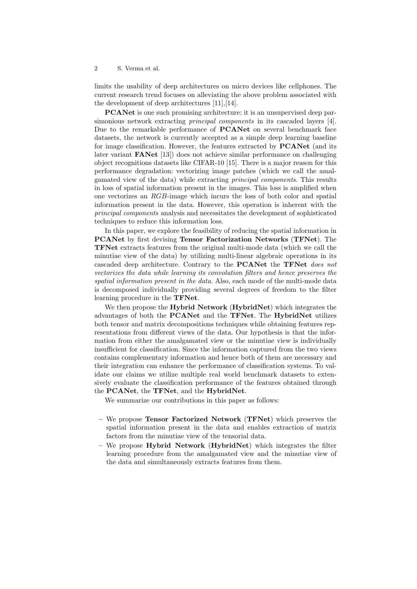limits the usability of deep architectures on micro devices like cellphones. The current research trend focuses on alleviating the above problem associated with the development of deep architectures [11],[14].

PCANet is one such promising architecture: it is an unsupervised deep parsimonious network extracting *principal components* in its cascaded layers [4]. Due to the remarkable performance of **PCANet** on several benchmark face datasets, the network is currently accepted as a simple deep learning baseline for image classification. However, the features extracted by PCANet (and its later variant FANet [13]) does not achieve similar performance on challenging object recognitions datasets like CIFAR-10 [15]. There is a major reason for this performance degradation: vectorizing image patches (which we call the amalgamated view of the data) while extracting principal components. This results in loss of spatial information present in the images. This loss is amplified when one vectorizes an RGB-image which incurs the loss of both color and spatial information present in the data. However, this operation is inherent with the principal components analysis and necessitates the development of sophisticated techniques to reduce this information loss.

In this paper, we explore the feasibility of reducing the spatial information in PCANet by first devising Tensor Factorization Networks (TFNet). The TFNet extracts features from the original multi-mode data (which we call the minutiae view of the data) by utilizing multi-linear algebraic operations in its cascaded deep architecture. Contrary to the **PCANet** the **TFNet** does not vectorizes the data while learning its convolution filters and hence preserves the spatial information present in the data. Also, each mode of the multi-mode data is decomposed individually providing several degrees of freedom to the filter learning procedure in the TFNet.

We then propose the **Hybrid Network** (**HybridNet**) which integrates the advantages of both the PCANet and the TFNet. The HybridNet utilizes both tensor and matrix decompositions techniques while obtaining features representations from different views of the data. Our hypothesis is that the information from either the amalgamated view or the minutiae view is individually insufficient for classification. Since the information captured from the two views contains complementary information and hence both of them are necessary and their integration can enhance the performance of classification systems. To validate our claims we utilize multiple real world benchmark datasets to extensively evaluate the classification performance of the features obtained through the PCANet, the TFNet, and the HybridNet.

We summarize our contributions in this paper as follows:

- We propose Tensor Factorized Network (TFNet) which preserves the spatial information present in the data and enables extraction of matrix factors from the minutiae view of the tensorial data.
- We propose Hybrid Network (HybridNet) which integrates the filter learning procedure from the amalgamated view and the minutiae view of the data and simultaneously extracts features from them.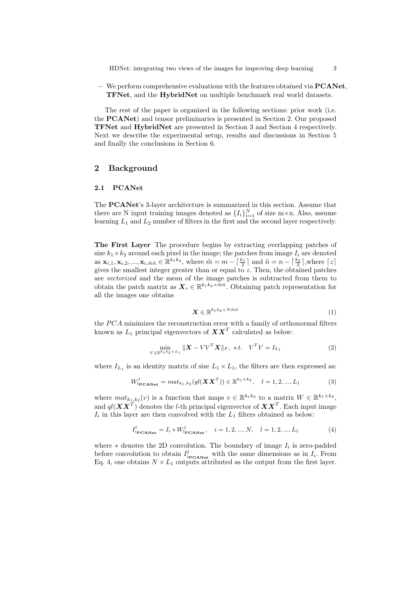$-$  We perform comprehensive evaluations with the features obtained via  $\mathbf{PCANet}$ . TFNet, and the HybridNet on multiple benchmark real world datasets.

The rest of the paper is organized in the following sections: prior work (i.e. the PCANet) and tensor preliminaries is presented in Section 2. Our proposed TFNet and HybridNet are presented in Section 3 and Section 4 respectively. Next we describe the experimental setup, results and discussions in Section 5 and finally the conclusions in Section 6.

## 2 Background

#### 2.1 PCANet

The PCANet's 3-layer architecture is summarized in this section. Assume that there are N input training images denoted as  $\{I_i\}_{i=1}^N$  of size m×n. Also, assume learning  $L_1$  and  $L_2$  number of filters in the first and the second layer respectively.

The First Layer The procedure begins by extracting overlapping patches of size  $k_1 \times k_2$  around each pixel in the image; the patches from image  $I_i$  are denoted as  $\mathbf{x}_{i,1}, \mathbf{x}_{i,2}, ..., \mathbf{x}_{i,m}$   $\in \mathbb{R}^{k_1 k_2}$ , where  $\tilde{m} = m - \lceil \frac{k_1}{2} \rceil$  and  $\tilde{n} = n - \lceil \frac{k_2}{2} \rceil$ , where  $\lceil z \rceil$ gives the smallest integer greater than or equal to  $z$ . Then, the obtained patches are vectorized and the mean of the image patches is subtracted from them to obtain the patch matrix as  $\mathbf{X}_i \in \mathbb{R}^{k_1 k_2 \times \tilde{m}\tilde{n}}$ . Obtaining patch representation for all the images one obtains

$$
\boldsymbol{X} \in \mathbb{R}^{k_1 k_2 \times N \tilde{m} \tilde{n}} \tag{1}
$$

the  $PCA$  minimizes the reconstruction error with a family of orthonormal filters known as  $L_1$  principal eigenvectors of  $\boldsymbol{X}\boldsymbol{X}^T$  calculated as below:

$$
\min_{V \in \mathbb{R}^{k_1 k_2} \times L_1} \| \mathbf{X} - V V^T \mathbf{X} \|_F, \ s.t. \ V^T V = I_{L_1}
$$
 (2)

where  $I_{L_1}$  is an identity matrix of size  $L_1 \times L_1$ , the filters are then expressed as:

$$
W_{l_{\text{PCANet}}}^{1} = mat_{k_{1},k_{2}}(ql(\boldsymbol{XX}^{T})) \in \mathbb{R}^{k_{1} \times k_{2}}, \quad l = 1,2,...,L_{1}
$$
 (3)

where  $mat_{k_1,k_2}(v)$  is a function that maps  $v \in \mathbb{R}^{k_1k_2}$  to a matrix  $W \in \mathbb{R}^{k_1 \times k_2}$ , and  $ql(XX^T)$  denotes the *l*-th principal eigenvector of  $XX^T$ . Each input image  $I_i$  in this layer are then convolved with the  $L_1$  filters obtained as below:

$$
I_{i_{\text{PCANet}}}^{l} = I_i * W_{l_{\text{PCANet}}}^{1}, \quad i = 1, 2, ..., N, \quad l = 1, 2, ..., L_1
$$
 (4)

where  $*$  denotes the 2D convolution. The boundary of image  $I_i$  is zero-padded before convolution to obtain  $I_{i_{\text{PCANet}}}^l$  with the same dimensions as in  $I_i$ . From Eq. 4, one obtains  $N \times L_1$  outputs attributed as the output from the first layer.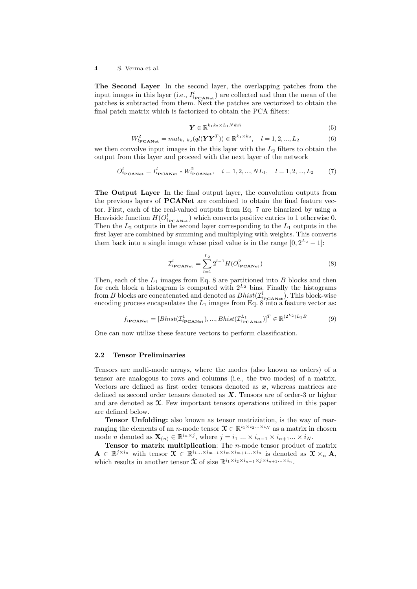The Second Layer In the second layer, the overlapping patches from the input images in this layer (i.e.,  $I_{i_{\text{PCANet}}}^l$ ) are collected and then the mean of the patches is subtracted from them. Next the patches are vectorized to obtain the final patch matrix which is factorized to obtain the PCA filters:

$$
\mathbf{Y} \in \mathbb{R}^{k_1 k_2 \times L_1 N \tilde{m} \tilde{n}}
$$
\n
$$
\tag{5}
$$

$$
W_{l_{\text{PCANet}}}^2 = mat_{k_1, k_2}(ql(\boldsymbol{Y}\boldsymbol{Y}^T)) \in \mathbb{R}^{k_1 \times k_2}, \quad l = 1, 2, ..., L_2
$$
 (6)

we then convolve input images in the this layer with the  $L_2$  filters to obtain the output from this layer and proceed with the next layer of the network

$$
O_{i_{\text{PCANet}}}^l = I_{i_{\text{PCANet}}}^l * W_{l_{\text{PCANet}}}^2, \quad i = 1, 2, ..., NL_1, \quad l = 1, 2, ..., L_2 \tag{7}
$$

The Output Layer In the final output layer, the convolution outputs from the previous layers of PCANet are combined to obtain the final feature vector. First, each of the real-valued outputs from Eq. 7 are binarized by using a Heaviside function  $H(O_{i_{\text{PCANet}}}^l)$  which converts positive entries to 1 otherwise 0. Then the  $L_2$  outputs in the second layer corresponding to the  $L_1$  outputs in the first layer are combined by summing and multiplying with weights. This converts them back into a single image whose pixel value is in the range  $[0, 2^{L_2} - 1]$ :

$$
\mathcal{I}_{i_{\text{PCANet}}}^{l} = \sum_{l=1}^{L_2} 2^{l-1} H(O_{l_{\text{PCANet}}}^2)
$$
\n(8)

Then, each of the  $L_1$  images from Eq. 8 are partitioned into B blocks and then for each block a histogram is computed with  $2^{L_2}$  bins. Finally the histograms from B blocks are concatenated and denoted as  $Bhist(\mathcal{I}_{i_{\text{PCANE}}^l})$ . This block-wise encoding process encapsulates the  $L_1$  images from Eq. 8 into a feature vector as:

$$
f_{i_{\text{PCANet}}} = [Bhist(\mathcal{I}_{i_{\text{PCANet}}}^{1}), ..., Bhist(\mathcal{I}_{i_{\text{PCANet}}}^{L_{1}})]^{T} \in \mathbb{R}^{(2^{L_{2}})L_{1}B}
$$
(9)

One can now utilize these feature vectors to perform classification.

## 2.2 Tensor Preliminaries

Tensors are multi-mode arrays, where the modes (also known as orders) of a tensor are analogous to rows and columns (i.e., the two modes) of a matrix. Vectors are defined as first order tensors denoted as  $x$ , whereas matrices are defined as second order tensors denoted as  $X$ . Tensors are of order-3 or higher and are denoted as  $\mathfrak{X}$ . Few important tensors operations utilized in this paper are defined below.

Tensor Unfolding: also known as tensor matriziation, is the way of rearranging the elements of an *n*-mode tensor  $\mathcal{X} \in \mathbb{R}^{i_1 \times i_2 ... \times i_N}$  as a matrix in chosen mode *n* denoted as  $\mathbf{X}_{(n)} \in \mathbb{R}^{i_n \times j}$ , where  $j = i_1 \dots \times i_{n-1} \times i_{n+1} \dots \times i_N$ .

**Tensor to matrix multiplication:** The  $n$ -mode tensor product of matrix  $\mathbf{A} \in \mathbb{R}^{j \times i_n}$  with tensor  $\mathbf{X} \in \mathbb{R}^{i_1... \times i_{m-1} \times i_m \times i_{m+1}... \times i_n}$  is denoted as  $\mathbf{X} \times_n \mathbf{A}$ , which results in another tensor  $\hat{\mathbf{\mathcal{X}}}$  of size  $\mathbb{R}^{i_1 \times i_2 \times i_{n-1} \times j \times i_{n+1} \dots \times i_n}$ .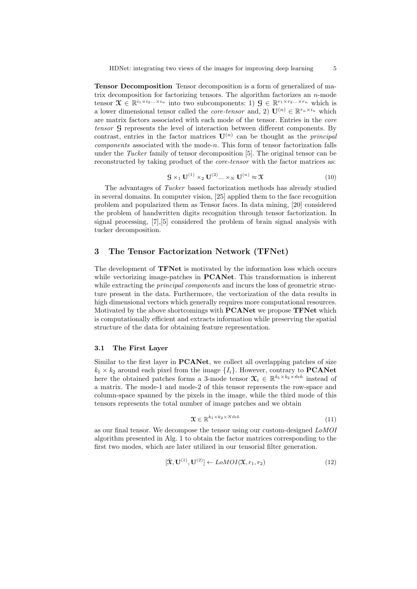Tensor Decomposition Tensor decomposition is a form of generalized of matrix decomposition for factorizing tensors. The algorithm factorizes an  $n$ -mode tensor  $\mathcal{X} \in \mathbb{R}^{i_1 \times i_2 \dots \times i_n}$  into two subcomponents: 1)  $\mathcal{G} \in \mathbb{R}^{r_1 \times r_2 \dots \times r_n}$  which is a lower dimensional tensor called the *core-tensor* and, 2)  $\mathbf{U}^{(n)} \in \mathbb{R}^{r_n \times i_n}$  which are matrix factors associated with each mode of the tensor. Entries in the core tensor G represents the level of interaction between different components. By contrast, entries in the factor matrices  $\mathbf{U}^{(n)}$  can be thought as the *principal* components associated with the mode-n. This form of tensor factorization falls under the Tucker family of tensor decomposition [5]. The original tensor can be reconstructed by taking product of the *core-tensor* with the factor matrices as:

$$
\mathcal{G} \times_1 \mathbf{U}^{(1)} \times_2 \mathbf{U}^{(2)} \dots \times_N \mathbf{U}^{(n)} \approx \mathfrak{X}
$$
\n<sup>(10)</sup>

The advantages of Tucker based factorization methods has already studied in several domains. In computer vision, [25] applied them to the face recognition problem and popularized them as Tensor faces. In data mining, [20] considered the problem of handwritten digits recognition through tensor factorization. In signal processing, [7],[5] considered the problem of brain signal analysis with tucker decomposition.

## 3 The Tensor Factorization Network (TFNet)

The development of TFNet is motivated by the information loss which occurs while vectorizing image-patches in **PCANet**. This transformation is inherent while extracting the *principal components* and incurs the loss of geometric structure present in the data. Furthermore, the vectorization of the data results in high dimensional vectors which generally requires more computational resources. Motivated by the above shortcomings with PCANet we propose TFNet which is computationally efficient and extracts information while preserving the spatial structure of the data for obtaining feature representation.

## 3.1 The First Layer

Similar to the first layer in PCANet, we collect all overlapping patches of size  $k_1 \times k_2$  around each pixel from the image  $\{I_i\}$ . However, contrary to **PCANet** here the obtained patches forms a 3-mode tensor  $\mathcal{X}_i \in \mathbb{R}^{k_1 \times k_2 \times \tilde{m}\tilde{n}}$  instead of a matrix. The mode-1 and mode-2 of this tensor represents the row-space and column-space spanned by the pixels in the image, while the third mode of this tensors represents the total number of image patches and we obtain

$$
\mathbf{X} \in \mathbb{R}^{k_1 \times k_2 \times N \tilde{m} \tilde{n}}
$$
\n<sup>(11)</sup>

as our final tensor. We decompose the tensor using our custom-designed LoMOI algorithm presented in Alg. 1 to obtain the factor matrices corresponding to the first two modes, which are later utilized in our tensorial filter generation.

$$
[\hat{\mathbf{X}}, \mathbf{U}^{(1)}, \mathbf{U}^{(2)}] \leftarrow \text{LOMOI}(\mathbf{\mathbf{X}}, r_1, r_2) \tag{12}
$$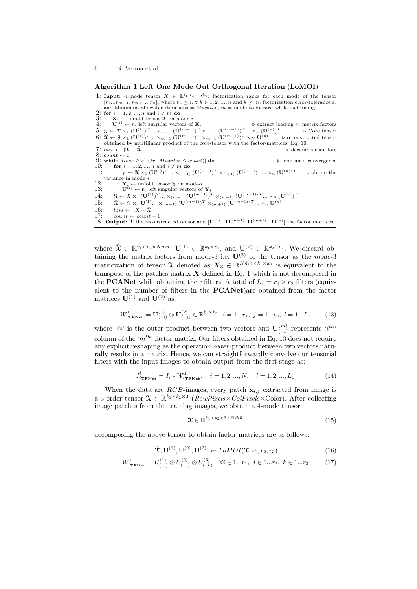#### Algorithm 1 Left One Mode Out Orthogonal Iteration (LoMOI)

1: Input: n-mode tensor  $\mathcal{X} \in \mathbb{R}^{i_1, i_2, ..., i_n}$ ; factorization ranks for each mode of the tensor  $[r_1...r_{m-1}, r_{m+1}...r_n]$ , where  $r_k \leq i_k \forall k \in 1, 2, ..., n$  and  $k \neq m$ ; factorization error-tolerance  $\varepsilon$ , and Maximum allowable iterations = *Maxiter*,  $m$  = mode to discard while factorizing 2: for  $i = 1, 2, ..., n$  and  $i \neq m$  do 3:  $\mathbf{X}_i \leftarrow \text{unfold}$  tensor  $\mathbf{\hat{X}}$  on mode-i<br>
4:  $\mathbf{U}^{(i)} \leftarrow r_i$  left singular vectors of  $\mathbf{X}_i$   $\triangleright$  extract leading  $r_i$  matrix factors 5:  $S \leftarrow \mathfrak{X} \times_1 (\mathbf{U}^{(1)})^T \dots \times_{m-1} (\mathbf{U}^{(m-1)})^T \times_{m+1} (\mathbf{U}^{(m+1)})^T \dots \times_n (\mathbf{U}^{(n)})^T$  b Core tensor 6:  $\hat{\mathbf{X}} \leftarrow \mathbf{G} \times_1 (\mathbf{U}^{(1)})^T \dots \times_{m-1} (\mathbf{U}^{(m-1)})^T \times_{m+1} (\mathbf{U}^{(m+1)})^T \times_N \mathbf{U}^{(n)}$  > reconstructed tensor obtained by multilinear product of the core-tensor with the factor-matrices; Eq. 10.<br>7: loss ←  $\|\mathbf{$ 7:  $loss \leftarrow \|\mathfrak{X} - \hat{\mathfrak{X}}\|$ <br>8:  $count \leftarrow 0$ 9: while  $[(loss \geq \varepsilon)$  Or  $(Maxiter \leq count)]$  do  $\qquad \qquad \triangleright$  loop until convergence 10: for  $i = 1, 2, ..., n$  and  $i \neq m$  do 11:  $\qquad \qquad \mathcal{Y} \leftarrow \mathcal{X} \times_1 (\mathbf{U}^{(1)})^T ... \times_{(i-1)} (\mathbf{U}^{(i-1)})^T \times_{(i+1)} (\mathbf{U}^{(i+1)})^T ... \times_n (\mathbf{U}^{(n)})$  $\triangleright$  obtain the variance in mode-i 12:  $\mathbf{Y}_i \leftarrow \text{unfold tensor } \mathbf{Y}$  on mode-i<br>
13:  $\mathbf{U}^{(i)} \leftarrow \mathbf{r}_i$  left singular vectors of  $\mathbf{Y}_i$ 14:  $\mathcal{G} \leftarrow \mathfrak{X} \times_1 (\mathbf{U}^{(1)})^T ... \times_{(m-1)} (\mathbf{U}^{(m-1)})^T \times_{(m+1)} (\mathbf{U}^{(m+1)})^T ... \times_n (\mathbf{U}^{(n)})^T$ 15:  $\hat{\mathbf{x}} \leftarrow \mathbf{G} \times_1 \mathbf{U}^{(1)} \dots \times_{(m-1)} (\mathbf{U}^{(m-1)})^T \times_{(m+1)} (\mathbf{U}^{(m+1)})^T \dots \times_n \mathbf{U}^{(n)}$ 16:  $loss \leftarrow ||\mathbf{\hat{x}} - \mathbf{\hat{x}}||$ <br>17:  $count \leftarrow count +$  $count \leftarrow count + 1$ 18: Output:  $\hat{\mathbf{\mathcal{X}}}$  the reconstructed tensor and  $[\mathbf{U}^{(1)}...\mathbf{U}^{(m-1)},\mathbf{U}^{(m+1)}...\mathbf{U}^{(n)}]$  the factor matrices

where  $\hat{\mathbf{X}} \in \mathbb{R}^{r_1 \times r_2 \times N \tilde{m} \tilde{n}}$ ,  $\mathbf{U}^{(1)} \in \mathbb{R}^{k_1 \times r_1}$ , and  $\mathbf{U}^{(2)} \in \mathbb{R}^{k_2 \times r_2}$ . We discard obtaining the matrix factors from mode-3 i.e.  $U^{(3)}$  of the tensor as the *mode-*3 matricization of tensor  $\mathfrak{X}$  denoted as  $X_3 \in \mathbb{R}^{N \tilde{m} \tilde{n} \times k_1 \times k_2}$  is equivalent to the transpose of the patches matrix  $X$  defined in Eq. 1 which is not decomposed in the **PCANet** while obtaining their filters. A total of  $L_1 = r_1 \times r_2$  filters (equivalent to the number of filters in the PCANet)are obtained from the factor matrices  $\mathbf{U}^{(1)}$  and  $\mathbf{U}^{(2)}$  as:

$$
W_{i_{\text{TFNet}}}^1 = \mathbf{U}_{(:,i)}^{(1)} \otimes \mathbf{U}_{(:,j)}^{(2)} \in \mathbb{R}^{k_1 \times k_2}, \ i = 1...r_1, \ j = 1...r_2, \ l = 1...L_1 \qquad (13)
$$

where ' $\otimes$ ' is the outer product between two vectors and  $\mathbf{U}^{(m)}_{(-i)}$  $\binom{m}{(:,i)}$  represents  $(i^{th})$ column of the ' $m^{th}$ ' factor matrix. Our filters obtained in Eq. 13 does not require any explicit reshaping as the operation outer -product between two vectors naturally results in a matrix. Hence, we can straightforwardly convolve our tensorial filters with the input images to obtain output from the first stage as:

$$
I_{i_{\text{TFNet}}}^l = I_i * W_{l_{\text{TFNet}}}^1, \quad i = 1, 2, ..., N, \quad l = 1, 2, ..., L_1
$$
 (14)

When the data are RGB-images, every patch  $\mathbf{x}_{i,j}$  extracted from image is a 3-order tensor  $\mathfrak{X} \in \mathbb{R}^{k_1 \times k_2 \times 3}$  (*RowPixels×ColPixels×Color*). After collecting image patches from the training images, we obtain a 4-mode tensor

$$
\mathbf{\mathcal{X}} \in \mathbb{R}^{k_1 \times k_2 \times 3 \times N \tilde{m}\tilde{n}} \tag{15}
$$

decomposing the above tensor to obtain factor matrices are as follows:

$$
[\hat{\mathbf{X}}, \mathbf{U}^{(1)}, \mathbf{U}^{(2)}, \mathbf{U}^{(3)}] \leftarrow \text{LOMOI}(\mathbf{X}, r_1, r_2, r_3)
$$
\n(16)

$$
W_{l_{\text{TFNet}}}^{1} = U_{(:,i)}^{(1)} \otimes U_{(:,j)}^{(2)} \otimes U_{(:,k)}^{(3)} \quad \forall i \in 1...r_1, \ j \in 1...r_2, \ k \in 1...r_3 \tag{17}
$$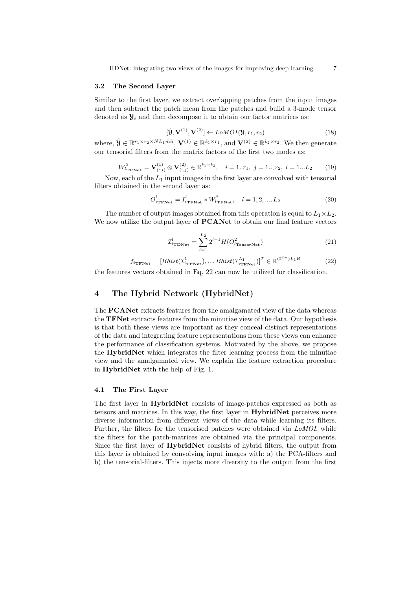HDNet: integrating two views of the images for improving deep learning 7

#### 3.2 The Second Layer

Similar to the first layer, we extract overlapping patches from the input images and then subtract the patch mean from the patches and build a 3-mode tensor denoted as  $\mathcal{Y}_i$  and then decompose it to obtain our factor matrices as:

$$
[\hat{\mathbf{Y}}, \mathbf{V}^{(1)}, \mathbf{V}^{(2)}] \leftarrow L o M O I(\mathbf{Y}, r_1, r_2)
$$
\n(18)

where,  $\hat{\mathbf{\mathcal{Y}}} \in \mathbb{R}^{r_1 \times r_2 \times NL_1 \tilde{m} \tilde{n}}$ ,  $\mathbf{V}^{(1)} \in \mathbb{R}^{k_1 \times r_1}$ , and  $\mathbf{V}^{(2)} \in \mathbb{R}^{k_2 \times r_2}$ . We then generate our tensorial filters from the matrix factors of the first two modes as:

$$
W_{l_{\text{TFNet}}}^2 = \mathbf{V}_{(:,i)}^{(1)} \otimes \mathbf{V}_{(:,j)}^{(2)} \in \mathbb{R}^{k_1 \times k_2}, \quad i = 1..r_1, \ j = 1..,r_2, \ l = 1...L_2 \tag{19}
$$

Now, each of the  $L_1$  input images in the first layer are convolved with tensorial filters obtained in the second layer as:

$$
O_{i_{\text{TFNet}}}^l = I_{i_{\text{TFNet}}}^l * W_{l_{\text{TFNet}}}^2, \quad l = 1, 2, ..., L_2
$$
\n
$$
(20)
$$

The number of output images obtained from this operation is equal to  $L_1 \times L_2$ . We now utilize the output layer of **PCANet** to obtain our final feature vectors

$$
\mathcal{I}_{i_{\text{TDNet}}}^{l} = \sum_{l=1}^{L_2} 2^{l-1} H(O_{l_{\text{TensorNet}}}^2)
$$
\n(21)

$$
f_{i_{\text{TFNet}}} = [Bhist(\mathcal{I}_{i_{\text{TFNet}}}^{1}), ..., Bhist(\mathcal{I}_{i_{\text{TFNet}}}^{L_{1}})]^{T} \in \mathbb{R}^{(2^{L_{2}})L_{1}B}
$$
(22)

the features vectors obtained in Eq. 22 can now be utilized for classification.

## 4 The Hybrid Network (HybridNet)

The PCANet extracts features from the amalgamated view of the data whereas the TFNet extracts features from the minutiae view of the data. Our hypothesis is that both these views are important as they conceal distinct representations of the data and integrating feature representations from these views can enhance the performance of classification systems. Motivated by the above, we propose the HybridNet which integrates the filter learning process from the minutiae view and the amalgamated view. We explain the feature extraction procedure in HybridNet with the help of Fig. 1.

#### 4.1 The First Layer

The first layer in HybridNet consists of image-patches expressed as both as tensors and matrices. In this way, the first layer in HybridNet perceives more diverse information from different views of the data while learning its filters. Further, the filters for the tensorised patches were obtained via LoMOI, while the filters for the patch-matrices are obtained via the principal components. Since the first layer of HybridNet consists of hybrid filters, the output from this layer is obtained by convolving input images with: a) the PCA-filters and b) the tensorial-filters. This injects more diversity to the output from the first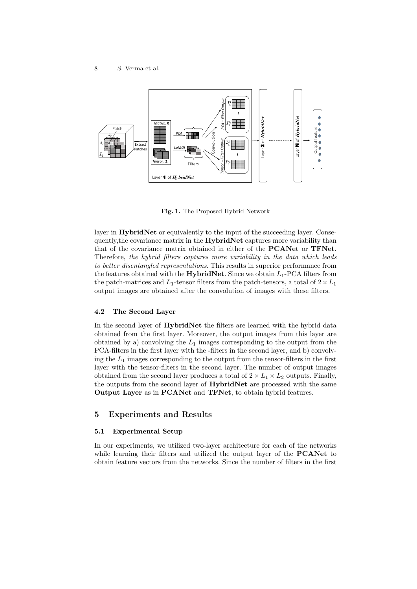

Fig. 1. The Proposed Hybrid Network

layer in **HybridNet** or equivalently to the input of the succeeding layer. Consequently, the covariance matrix in the **HybridNet** captures more variability than that of the covariance matrix obtained in either of the PCANet or TFNet. Therefore, the hybrid filters captures more variability in the data which leads to better disentangled representations. This results in superior performance from the features obtained with the **HybridNet**. Since we obtain  $L_1$ -PCA filters from the patch-matrices and  $L_1$ -tensor filters from the patch-tensors, a total of  $2 \times L_1$ output images are obtained after the convolution of images with these filters.

## 4.2 The Second Layer

In the second layer of **HybridNet** the filters are learned with the hybrid data obtained from the first layer. Moreover, the output images from this layer are obtained by a) convolving the  $L_1$  images corresponding to the output from the PCA-filters in the first layer with the -filters in the second layer, and b) convolving the  $L_1$  images corresponding to the output from the tensor-filters in the first layer with the tensor-filters in the second layer. The number of output images obtained from the second layer produces a total of  $2 \times L_1 \times L_2$  outputs. Finally, the outputs from the second layer of HybridNet are processed with the same Output Layer as in PCANet and TFNet, to obtain hybrid features.

## 5 Experiments and Results

## 5.1 Experimental Setup

In our experiments, we utilized two-layer architecture for each of the networks while learning their filters and utilized the output layer of the **PCANet** to obtain feature vectors from the networks. Since the number of filters in the first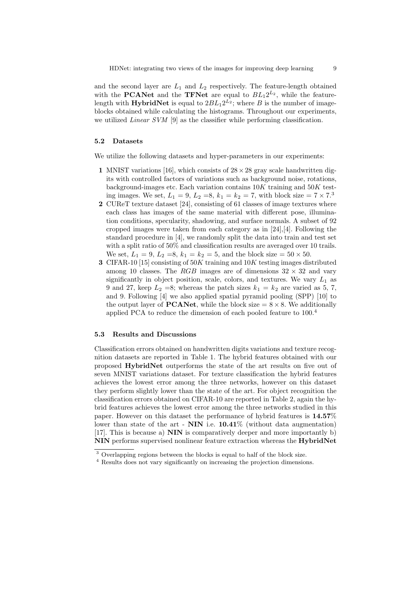and the second layer are  $L_1$  and  $L_2$  respectively. The feature-length obtained with the **PCANet** and the **TFNet** are equal to  $BL_12^{L_2}$ , while the featurelength with **HybridNet** is equal to  $2BL_12^{L_2}$ ; where B is the number of imageblocks obtained while calculating the histograms. Throughout our experiments, we utilized *Linear SVM* [9] as the classifier while performing classification.

#### 5.2 Datasets

We utilize the following datasets and hyper-parameters in our experiments:

- 1 MNIST variations [16], which consists of  $28 \times 28$  gray scale handwritten digits with controlled factors of variations such as background noise, rotations, background-images etc. Each variation contains  $10K$  training and  $50K$  testing images. We set,  $L_1 = 9$ ,  $L_2 = 8$ ,  $k_1 = k_2 = 7$ , with block size  $= 7 \times 7^3$
- 2 CUReT texture dataset [24], consisting of 61 classes of image textures where each class has images of the same material with different pose, illumination conditions, specularity, shadowing, and surface normals. A subset of 92 cropped images were taken from each category as in  $[24],[4]$ . Following the standard procedure in [4], we randomly split the data into train and test set with a split ratio of 50% and classification results are averaged over 10 trails. We set,  $L_1 = 9, L_2 = 8, k_1 = k_2 = 5$ , and the block size  $= 50 \times 50$ .
- 3 CIFAR-10 [15] consisting of  $50K$  training and  $10K$  testing images distributed among 10 classes. The RGB images are of dimensions  $32 \times 32$  and vary significantly in object position, scale, colors, and textures. We vary  $L_1$  as 9 and 27, keep  $L_2 = 8$ ; whereas the patch sizes  $k_1 = k_2$  are varied as 5, 7, and 9. Following [4] we also applied spatial pyramid pooling (SPP) [10] to the output layer of **PCANet**, while the block size  $= 8 \times 8$ . We additionally applied PCA to reduce the dimension of each pooled feature to 100.<sup>4</sup>

#### 5.3 Results and Discussions

Classification errors obtained on handwritten digits variations and texture recognition datasets are reported in Table 1. The hybrid features obtained with our proposed HybridNet outperforms the state of the art results on five out of seven MNIST variations dataset. For texture classification the hybrid features achieves the lowest error among the three networks, however on this dataset they perform slightly lower than the state of the art. For object recognition the classification errors obtained on CIFAR-10 are reported in Table 2, again the hybrid features achieves the lowest error among the three networks studied in this paper. However on this dataset the performance of hybrid features is 14.57% lower than state of the art -  $NIN$  i.e.  $10.41\%$  (without data augmentation) [17]. This is because a) NIN is comparatively deeper and more importantly b) NIN performs supervised nonlinear feature extraction whereas the HybridNet

<sup>&</sup>lt;sup>3</sup> Overlapping regions between the blocks is equal to half of the block size.

<sup>4</sup> Results does not vary significantly on increasing the projection dimensions.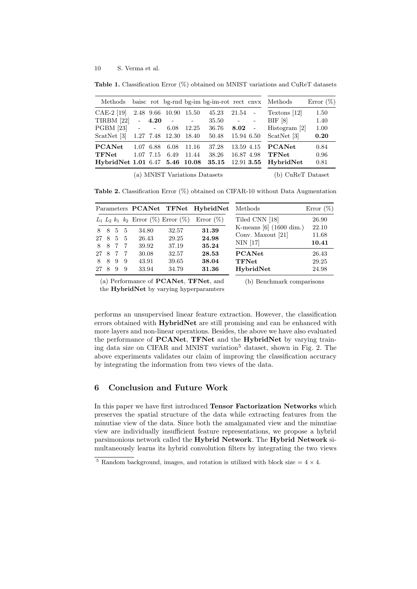Table 1. Classification Error (%) obtained on MNIST variations and CuReT datasets

| Methods baisc rot bg-rnd bg-im bg-im-rot rect cnvx Methods |                        |         |                                     |                   |                                      |                                 |              |                                                      | Error $(\%)$         |
|------------------------------------------------------------|------------------------|---------|-------------------------------------|-------------------|--------------------------------------|---------------------------------|--------------|------------------------------------------------------|----------------------|
| $CAE-2$ [19]<br><b>TIRBM</b> [22]                          |                        | $-4.20$ | 2.48 9.66 10.90 15.50<br>$\sim$ $-$ | <b>Contractor</b> | 45.23<br>35.50                       | $21.54 -$<br>and a straight and |              | Textons [12]<br>BIF [8]                              | 1.50<br>1.40         |
| $PGBM [23]$ - -<br>ScatNet [3]                             |                        |         | 6.08                                | 12.25             | 36.76<br>1.27 7.48 12.30 18.40 50.48 | $8.02 -$<br>15.94 6.50          |              | Histogram [2]<br>ScatNet [3]                         | 1.00<br>0.20         |
| <b>PCANet</b><br>TFNet<br>HybridNet 1.01 6.47 5.46 10.08   | 1.07 6.88<br>1.07 7.15 |         | 6.08<br>6.49                        | -11.16<br>11.44   | 37.28<br>38.26<br>35.15              | 16.87 4.98                      | $12.91$ 3.55 | 13.59 4.15 <b>PCANet</b><br>$\tt TFNet$<br>HybridNet | 0.84<br>0.96<br>0.81 |

(a) MNIST Variations Datasets

(b) CuReT Dataset

Table 2. Classification Error (%) obtained on CIFAR-10 without Data Augmentation

|           |   |        |          |                                       |                | Parameters PCANet TFNet HybridNet | Methods                         | Error $(\%)$   |
|-----------|---|--------|----------|---------------------------------------|----------------|-----------------------------------|---------------------------------|----------------|
|           |   |        |          | $L_1 L_2 k_1 k_2$ Error (%) Error (%) |                | Error $(\%)$                      | Tiled CNN [18]                  | 26.90          |
| 8         | 8 | 5 5    |          | 34.80                                 | 32.57          | 31.39                             | K-means $[6]$ (1600 dim.)       | 22.10          |
| 27 8      |   | 5 5    |          | 26.43                                 | 29.25          | 24.98                             | Conv. Maxout [21]<br>$NIN$ [17] | 11.68<br>10.41 |
| 8<br>27 8 | 8 | 7<br>7 | -7<br>-7 | 39.92<br>30.08                        | 37.19<br>32.57 | 35.24<br>28.53                    | <b>PCANet</b>                   | 26.43          |
| 8         | 8 | 9      | -9       | 43.91                                 | 39.65          | 38.04                             | <b>TFNet</b>                    | 29.25          |
| 27        | 8 | 9      | 9        | 33.94                                 | 34.79          | 31.36                             | HybridNet                       | 24.98          |

(a) Performance of PCANet, TFNet, and

(b) Benchmark comparisons

the HybridNet by varying hyperparamters

performs an unsupervised linear feature extraction. However, the classification errors obtained with HybridNet are still promising and can be enhanced with more layers and non-linear operations. Besides, the above we have also evaluated the performance of **PCANet**, **TFNet** and the **HybridNet** by varying training data size on CIFAR and MNIST variation<sup>5</sup> dataset, shown in Fig. 2. The above experiments validates our claim of improving the classification accuracy

## 6 Conclusion and Future Work

by integrating the information from two views of the data.

In this paper we have first introduced Tensor Factorization Networks which preserves the spatial structure of the data while extracting features from the minutiae view of the data. Since both the amalgamated view and the minutiae view are individually insufficient feature representations, we propose a hybrid parsimonious network called the Hybrid Network. The Hybrid Network simultaneously learns its hybrid convolution filters by integrating the two views

 $5$  Random background, images, and rotation is utilized with block size  $= 4 \times 4$ .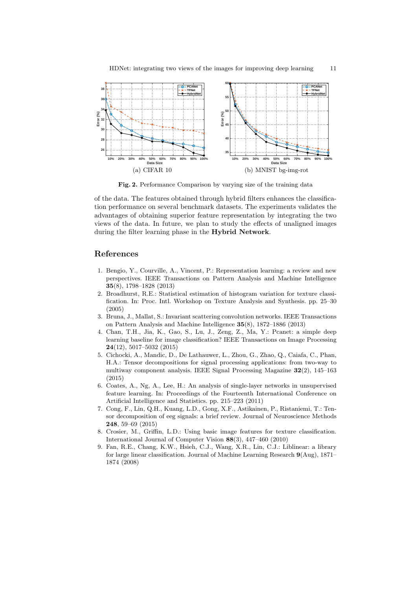

Fig. 2. Performance Comparison by varying size of the training data

of the data. The features obtained through hybrid filters enhances the classification performance on several benchmark datasets. The experiments validates the advantages of obtaining superior feature representation by integrating the two views of the data. In future, we plan to study the effects of unaligned images during the filter learning phase in the Hybrid Network.

## References

- 1. Bengio, Y., Courville, A., Vincent, P.: Representation learning: a review and new perspectives. IEEE Transactions on Pattern Analysis and Machine Intelligence 35(8), 1798–1828 (2013)
- 2. Broadhurst, R.E.: Statistical estimation of histogram variation for texture classification. In: Proc. Intl. Workshop on Texture Analysis and Synthesis. pp. 25–30 (2005)
- 3. Bruna, J., Mallat, S.: Invariant scattering convolution networks. IEEE Transactions on Pattern Analysis and Machine Intelligence 35(8), 1872–1886 (2013)
- 4. Chan, T.H., Jia, K., Gao, S., Lu, J., Zeng, Z., Ma, Y.: Pcanet: a simple deep learning baseline for image classification? IEEE Transactions on Image Processing 24(12), 5017–5032 (2015)
- 5. Cichocki, A., Mandic, D., De Lathauwer, L., Zhou, G., Zhao, Q., Caiafa, C., Phan, H.A.: Tensor decompositions for signal processing applications: from two-way to multiway component analysis. IEEE Signal Processing Magazine 32(2), 145–163 (2015)
- 6. Coates, A., Ng, A., Lee, H.: An analysis of single-layer networks in unsupervised feature learning. In: Proceedings of the Fourteenth International Conference on Artificial Intelligence and Statistics. pp. 215–223 (2011)
- 7. Cong, F., Lin, Q.H., Kuang, L.D., Gong, X.F., Astikainen, P., Ristaniemi, T.: Tensor decomposition of eeg signals: a brief review. Journal of Neuroscience Methods 248, 59–69 (2015)
- 8. Crosier, M., Griffin, L.D.: Using basic image features for texture classification. International Journal of Computer Vision 88(3), 447–460 (2010)
- 9. Fan, R.E., Chang, K.W., Hsieh, C.J., Wang, X.R., Lin, C.J.: Liblinear: a library for large linear classification. Journal of Machine Learning Research 9(Aug), 1871– 1874 (2008)